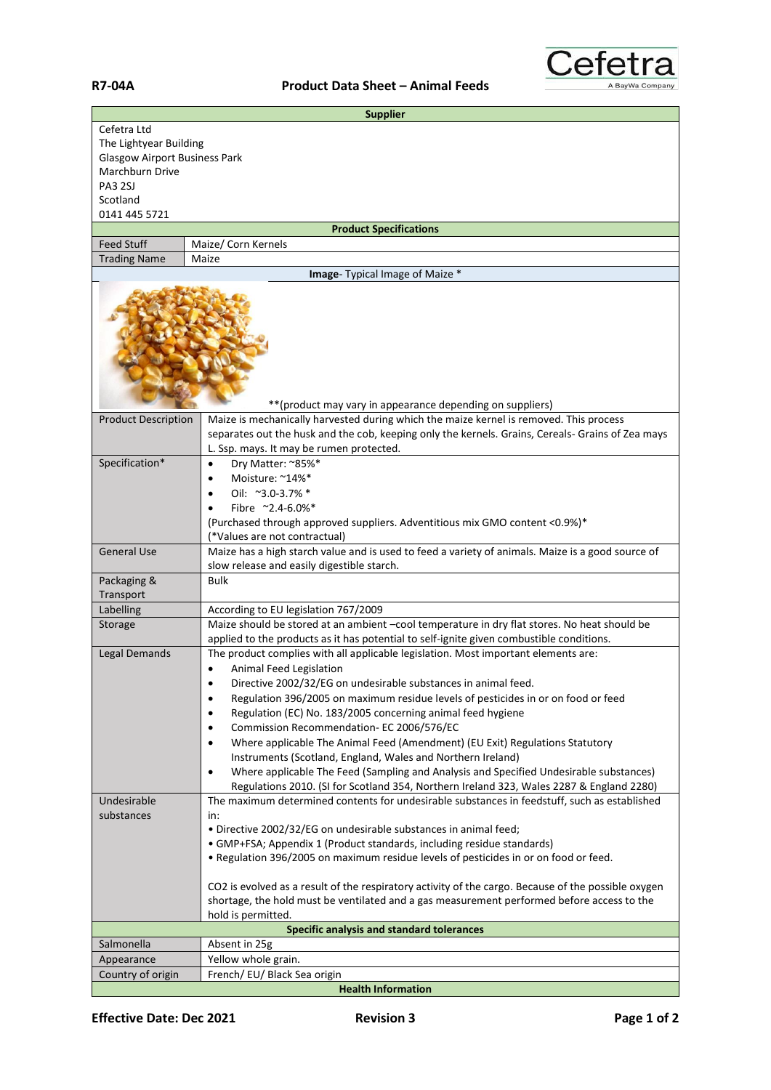## **R7-04A Product Data Sheet – Animal Feeds**



| <b>Supplier</b>                      |                                                                                                                                                                                                                                         |  |
|--------------------------------------|-----------------------------------------------------------------------------------------------------------------------------------------------------------------------------------------------------------------------------------------|--|
| Cefetra Ltd                          |                                                                                                                                                                                                                                         |  |
| The Lightyear Building               |                                                                                                                                                                                                                                         |  |
| <b>Glasgow Airport Business Park</b> |                                                                                                                                                                                                                                         |  |
| Marchburn Drive                      |                                                                                                                                                                                                                                         |  |
| <b>PA3 2SJ</b>                       |                                                                                                                                                                                                                                         |  |
| Scotland                             |                                                                                                                                                                                                                                         |  |
| 0141 445 5721                        |                                                                                                                                                                                                                                         |  |
|                                      | <b>Product Specifications</b>                                                                                                                                                                                                           |  |
| <b>Feed Stuff</b>                    | Maize/ Corn Kernels                                                                                                                                                                                                                     |  |
| <b>Trading Name</b>                  | Maize                                                                                                                                                                                                                                   |  |
|                                      | Image- Typical Image of Maize *                                                                                                                                                                                                         |  |
|                                      | ** (product may vary in appearance depending on suppliers)                                                                                                                                                                              |  |
|                                      |                                                                                                                                                                                                                                         |  |
| <b>Product Description</b>           | Maize is mechanically harvested during which the maize kernel is removed. This process<br>separates out the husk and the cob, keeping only the kernels. Grains, Cereals- Grains of Zea mays<br>L. Ssp. mays. It may be rumen protected. |  |
| Specification*                       | Dry Matter: ~85%*<br>$\bullet$                                                                                                                                                                                                          |  |
|                                      | Moisture: ~14%*<br>$\bullet$                                                                                                                                                                                                            |  |
|                                      | Oil: ~3.0-3.7% *<br>$\bullet$                                                                                                                                                                                                           |  |
|                                      | Fibre ~2.4-6.0%*                                                                                                                                                                                                                        |  |
|                                      | (Purchased through approved suppliers. Adventitious mix GMO content <0.9%)*                                                                                                                                                             |  |
|                                      | (*Values are not contractual)                                                                                                                                                                                                           |  |
| <b>General Use</b>                   | Maize has a high starch value and is used to feed a variety of animals. Maize is a good source of                                                                                                                                       |  |
|                                      | slow release and easily digestible starch.                                                                                                                                                                                              |  |
| Packaging &                          | <b>Bulk</b>                                                                                                                                                                                                                             |  |
| Transport                            |                                                                                                                                                                                                                                         |  |
| Labelling                            | According to EU legislation 767/2009                                                                                                                                                                                                    |  |
| Storage                              | Maize should be stored at an ambient -cool temperature in dry flat stores. No heat should be                                                                                                                                            |  |
|                                      | applied to the products as it has potential to self-ignite given combustible conditions.                                                                                                                                                |  |
| <b>Legal Demands</b>                 | The product complies with all applicable legislation. Most important elements are:                                                                                                                                                      |  |
|                                      | Animal Feed Legislation                                                                                                                                                                                                                 |  |
|                                      | Directive 2002/32/EG on undesirable substances in animal feed.                                                                                                                                                                          |  |
|                                      | Regulation 396/2005 on maximum residue levels of pesticides in or on food or feed<br>٠                                                                                                                                                  |  |
|                                      | Regulation (EC) No. 183/2005 concerning animal feed hygiene<br>$\bullet$                                                                                                                                                                |  |
|                                      | Commission Recommendation- EC 2006/576/EC<br>$\bullet$                                                                                                                                                                                  |  |
|                                      | Where applicable The Animal Feed (Amendment) (EU Exit) Regulations Statutory<br>$\bullet$                                                                                                                                               |  |
|                                      | Instruments (Scotland, England, Wales and Northern Ireland)                                                                                                                                                                             |  |
|                                      | Where applicable The Feed (Sampling and Analysis and Specified Undesirable substances)<br>$\bullet$                                                                                                                                     |  |
|                                      | Regulations 2010. (SI for Scotland 354, Northern Ireland 323, Wales 2287 & England 2280)                                                                                                                                                |  |
| Undesirable                          | The maximum determined contents for undesirable substances in feedstuff, such as established                                                                                                                                            |  |
| substances                           | in:                                                                                                                                                                                                                                     |  |
|                                      | · Directive 2002/32/EG on undesirable substances in animal feed;                                                                                                                                                                        |  |
|                                      | • GMP+FSA; Appendix 1 (Product standards, including residue standards)                                                                                                                                                                  |  |
|                                      | . Regulation 396/2005 on maximum residue levels of pesticides in or on food or feed.                                                                                                                                                    |  |
|                                      |                                                                                                                                                                                                                                         |  |
|                                      | CO2 is evolved as a result of the respiratory activity of the cargo. Because of the possible oxygen                                                                                                                                     |  |
|                                      | shortage, the hold must be ventilated and a gas measurement performed before access to the                                                                                                                                              |  |
|                                      | hold is permitted.                                                                                                                                                                                                                      |  |
|                                      | Specific analysis and standard tolerances                                                                                                                                                                                               |  |
| Salmonella                           | Absent in 25g                                                                                                                                                                                                                           |  |
| Appearance                           | Yellow whole grain.                                                                                                                                                                                                                     |  |
| Country of origin                    | French/ EU/ Black Sea origin                                                                                                                                                                                                            |  |
|                                      | <b>Health Information</b>                                                                                                                                                                                                               |  |